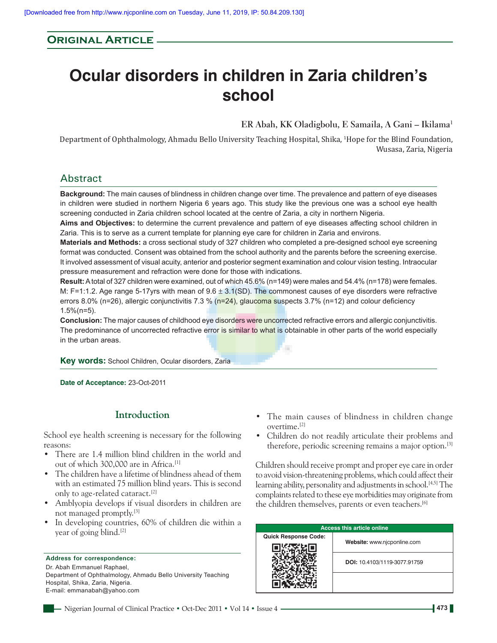# **Original Article**

# **Ocular disorders in children in Zaria children's school**

**ER Abah, KK Oladigbolu, E Samaila, A Gani – Ikilama1**

Department of Ophthalmology, Ahmadu Bello University Teaching Hospital, Shika, <sup>1</sup> Hope for the Blind Foundation, Wusasa, Zaria, Nigeria

# Abstract

**Background:** The main causes of blindness in children change over time. The prevalence and pattern of eye diseases in children were studied in northern Nigeria 6 years ago. This study like the previous one was a school eye health screening conducted in Zaria children school located at the centre of Zaria, a city in northern Nigeria.

**Aims and Objectives:** to determine the current prevalence and pattern of eye diseases affecting school children in Zaria. This is to serve as a current template for planning eye care for children in Zaria and environs.

**Materials and Methods:** a cross sectional study of 327 children who completed a pre-designed school eye screening format was conducted. Consent was obtained from the school authority and the parents before the screening exercise. It involved assessment of visual acuity, anterior and posterior segment examination and colour vision testing. Intraocular pressure measurement and refraction were done for those with indications.

**Result:** A total of 327 children were examined, out of which 45.6% (n=149) were males and 54.4% (n=178) were females. M: F=1:1.2. Age range 5-17 yrs with mean of  $9.6 \pm 3.1$  (SD). The commonest causes of eye disorders were refractive errors 8.0% (n=26), allergic conjunctivitis 7.3 % (n=24), glaucoma suspects 3.7% (n=12) and colour deficiency 1.5%(n=5).

**Conclusion:** The major causes of childhood eye disorders were uncorrected refractive errors and allergic conjunctivitis. The predominance of uncorrected refractive error is similar to what is obtainable in other parts of the world especially in the urban areas.

÷

**Key words:** School Children, Ocular disorders, Zaria

**Date of Acceptance:** 23-Oct-2011

## **Introduction**

School eye health screening is necessary for the following reasons:

- There are 1.4 million blind children in the world and out of which 300,000 are in Africa.<sup>[1]</sup>
- The children have a lifetime of blindness ahead of them with an estimated 75 million blind years. This is second only to age-related cataract.[2]
- Amblyopia develops if visual disorders in children are not managed promptly.[3]
- In developing countries, 60% of children die within a year of going blind.[2]

**Address for correspondence:** Dr. Abah Emmanuel Raphael, Department of Ophthalmology, Ahmadu Bello University Teaching Hospital, Shika, Zaria, Nigeria. E-mail: emmanabah@yahoo.com

- The main causes of blindness in children change overtime.[2]
- Children do not readily articulate their problems and therefore, periodic screening remains a major option.<sup>[3]</sup>

Children should receive prompt and proper eye care in order to avoid vision-threatening problems, which could affect their learning ability, personality and adjustments in school.<sup>[4,5]</sup> The complaints related to these eye morbidities may originate from the children themselves, parents or even teachers.<sup>[6]</sup>

| <b>Access this article online</b> |                              |  |  |
|-----------------------------------|------------------------------|--|--|
| <b>Quick Response Code:</b>       | Website: www.njcponline.com  |  |  |
|                                   | DOI: 10.4103/1119-3077.91759 |  |  |
|                                   |                              |  |  |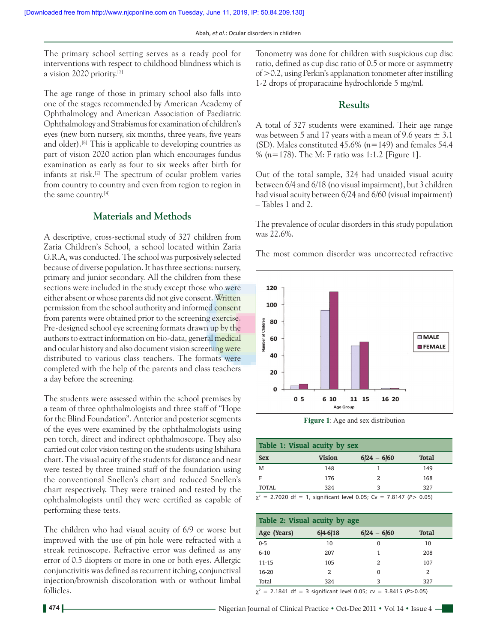The primary school setting serves as a ready pool for interventions with respect to childhood blindness which is a vision 2020 priority.[7]

The age range of those in primary school also falls into one of the stages recommended by American Academy of Ophthalmology and American Association of Paediatric Ophthalmology and Strabismus for examination of children's eyes (new born nursery, six months, three years, five years and older).[8] This is applicable to developing countries as part of vision 2020 action plan which encourages fundus examination as early as four to six weeks after birth for infants at risk.[2] The spectrum of ocular problem varies from country to country and even from region to region in the same country.[4]

#### **Materials and Methods**

A descriptive, cross-sectional study of 327 children from Zaria Children's School, a school located within Zaria G.R.A, was conducted. The school was purposively selected because of diverse population. It has three sections: nursery, primary and junior secondary. All the children from these sections were included in the study except those who were either absent or whose parents did not give consent. Written permission from the school authority and informed consent from parents were obtained prior to the screening exercise. Pre-designed school eye screening formats drawn up by the authors to extract information on bio-data, general medical and ocular history and also document vision screening were distributed to various class teachers. The formats were completed with the help of the parents and class teachers a day before the screening.

The students were assessed within the school premises by a team of three ophthalmologists and three staff of "Hope for the Blind Foundation". Anterior and posterior segments of the eyes were examined by the ophthalmologists using pen torch, direct and indirect ophthalmoscope. They also carried out color vision testing on the students using Ishihara chart. The visual acuity of the students for distance and near were tested by three trained staff of the foundation using the conventional Snellen's chart and reduced Snellen's chart respectively. They were trained and tested by the ophthalmologists until they were certified as capable of performing these tests.

The children who had visual acuity of 6/9 or worse but improved with the use of pin hole were refracted with a streak retinoscope. Refractive error was defined as any error of 0.5 diopters or more in one or both eyes. Allergic conjunctivitis was defined as recurrent itching, conjunctival injection/brownish discoloration with or without limbal follicles.

Tonometry was done for children with suspicious cup disc ratio, defined as cup disc ratio of 0.5 or more or asymmetry of >0.2, using Perkin's applanation tonometer after instilling 1-2 drops of proparacaine hydrochloride 5 mg/ml.

#### **Results**

A total of 327 students were examined. Their age range was between 5 and 17 years with a mean of 9.6 years  $\pm$  3.1 (SD). Males constituted 45.6% (*n=*149) and females 54.4 % (*n=*178). The M: F ratio was 1:1.2 [Figure 1].

Out of the total sample, 324 had unaided visual acuity between 6/4 and 6/18 (no visual impairment), but 3 children had visual acuity between 6/24 and 6/60 (visual impairment) – Tables 1 and 2.

The prevalence of ocular disorders in this study population was 22.6%.

The most common disorder was uncorrected refractive



**Figure 1**: Age and sex distribution

| Table 1: Visual acuity by sex |               |               |              |  |
|-------------------------------|---------------|---------------|--------------|--|
| <b>Sex</b>                    | <b>Vision</b> | $6/24 - 6/60$ | <b>Total</b> |  |
| M                             | 148           |               | 149          |  |
| F                             | 176           | 2             | 168          |  |
| TOTAL                         | 324           | ર             | 327          |  |

 $\chi^2$  = 2.7020 df = 1, significant level 0.05; Cv = 7.8147 (P > 0.05)

| Table 2: Visual acuity by age |            |               |              |  |
|-------------------------------|------------|---------------|--------------|--|
| Age (Years)                   | $6 4-6 18$ | $6 24 - 6 60$ | <b>Total</b> |  |
| $0 - 5$                       | 10         | 0             | 10           |  |
| $6 - 10$                      | 207        | 1             | 208          |  |
| 11-15                         | 105        | 2             | 107          |  |
| 16-20                         | 2          | 0             | 2            |  |
| Total                         | 324        | 3             | 327          |  |

 $\chi^2$  = 2.1841 df = 3 significant level 0.05; cv = 3.8415 (P>0.05)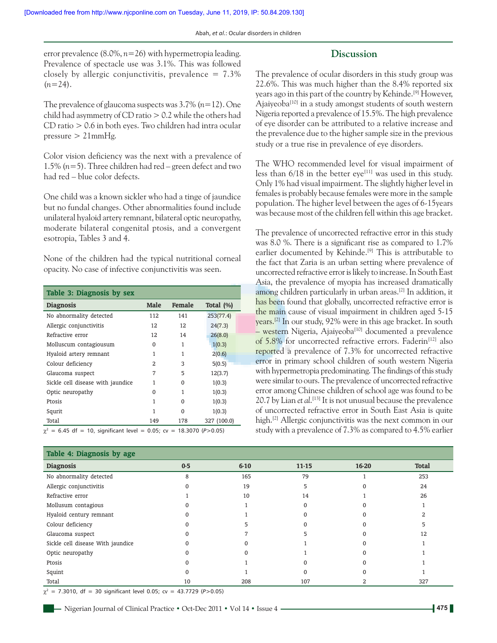error prevalence (8.0%, *n*=26) with hypermetropia leading. Prevalence of spectacle use was 3.1%. This was followed closely by allergic conjunctivitis, prevalence  $= 7.3\%$ (*n=*24).

The prevalence of glaucoma suspects was 3.7% (*n=*12). One child had asymmetry of CD ratio  $> 0.2$  while the others had CD ratio > 0.6 in both eyes. Two children had intra ocular pressure  $> 21$ mmHg.

Color vision deficiency was the next with a prevalence of 1.5% (*n=*5). Three children had red – green defect and two had red – blue color defects.

One child was a known sickler who had a tinge of jaundice but no fundal changes. Other abnormalities found include unilateral hyaloid artery remnant, bilateral optic neuropathy, moderate bilateral congenital ptosis, and a convergent esotropia, Tables 3 and 4.

None of the children had the typical nutritional corneal opacity. No case of infective conjunctivitis was seen.

| Table 3: Diagnosis by sex         |             |          |              |  |
|-----------------------------------|-------------|----------|--------------|--|
| <b>Diagnosis</b>                  | <b>Male</b> | Female   | Total $(\%)$ |  |
| No abnormality detected           | 112         | 141      | 253(77.4)    |  |
| Allergic conjunctivitis           | 12          | 12       | 24(7.3)      |  |
| Refractive error                  | 12          | 14       | 26(8.0)      |  |
| Molluscum contagiousum            | 0           | 1        | 1(0.3)       |  |
| Hyaloid artery remnant            | 1           | 1        | 2(0.6)       |  |
| Colour deficiency                 | 2           | 3        | 5(0.5)       |  |
| Glaucoma suspect                  | 7           | 5        | 12(3.7)      |  |
| Sickle cell disease with jaundice | 1           | 0        | 1(0.3)       |  |
| Optic neuropathy                  | $\Omega$    | 1        | 1(0.3)       |  |
| Ptosis                            |             | $\Omega$ | 1(0.3)       |  |
| Squrit                            | 1           | 0        | 1(0.3)       |  |
| Total                             | 149         | 178      | 327 (100.0)  |  |

The prevalence of ocular disorders in this study group was 22.6%. This was much higher than the 8.4% reported six years ago in this part of the country by Kehinde.[9] However, Ajaiyeoba<sup>[10]</sup> in a study amongst students of south western Nigeria reported a prevalence of 15.5%. The high prevalence of eye disorder can be attributed to a relative increase and the prevalence due to the higher sample size in the previous study or a true rise in prevalence of eye disorders.

**Discussion**

The WHO recommended level for visual impairment of less than  $6/18$  in the better eye<sup>[11]</sup> was used in this study. Only 1% had visual impairment. The slightly higher level in females is probably because females were more in the sample population. The higher level between the ages of 6-15years was because most of the children fell within this age bracket.

The prevalence of uncorrected refractive error in this study was 8.0 %. There is a significant rise as compared to 1.7% earlier documented by Kehinde.<sup>[9]</sup> This is attributable to the fact that Zaria is an urban setting where prevalence of uncorrected refractive error is likely to increase. In South East Asia, the prevalence of myopia has increased dramatically among children particularly in urban areas.[2] In addition, it has been found that globally, uncorrected refractive error is the main cause of visual impairment in children aged 5-15 years.[2] In our study, 92% were in this age bracket. In south  $-$  western Nigeria, Ajaiyeoba<sup>[10]</sup> documented a prevalence of 5.8% for uncorrected refractive errors. Faderin<sup>[12]</sup> also reported a prevalence of 7.3% for uncorrected refractive error in primary school children of south western Nigeria with hypermetropia predominating. The findings of this study were similar to ours. The prevalence of uncorrected refractive error among Chinese children of school age was found to be 20.7 by Lian *et al*. [13] It is not unusual because the prevalence of uncorrected refractive error in South East Asia is quite high.<sup>[2]</sup> Allergic conjunctivitis was the next common in our study with a prevalence of 7.3% as compared to 4.5% earlier

| Table 4: Diagnosis by age         |       |          |           |       |              |
|-----------------------------------|-------|----------|-----------|-------|--------------|
| <b>Diagnosis</b>                  | $0-5$ | $6 - 10$ | $11 - 15$ | 16-20 | <b>Total</b> |
| No abnormality detected           | 8     | 165      | 79        |       | 253          |
| Allergic conjunctivitis           |       | 19       |           |       | 24           |
| Refractive error                  |       | 10       | 14        |       | 26           |
| Mollusum contagious               |       |          |           |       |              |
| Hyaloid century remnant           |       |          |           |       |              |
| Colour deficiency                 |       |          |           |       |              |
| Glaucoma suspect                  |       |          |           |       | 12           |
| Sickle cell disease With jaundice |       |          |           |       |              |
| Optic neuropathy                  |       |          |           |       |              |
| Ptosis                            |       |          |           |       |              |
| Squint                            |       |          |           |       |              |
| Total                             | 10    | 208      | 107       |       | 327          |

 $\chi^2$  = 7.3010, df = 30 significant level 0.05; cv = 43.7729 (P>0.05)